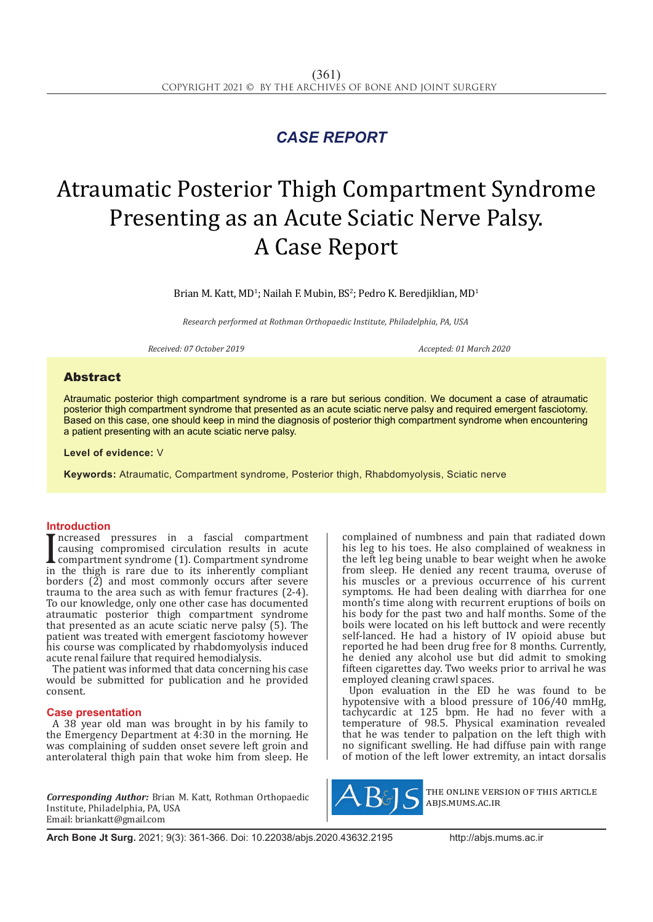## *CASE REPORT*

# Atraumatic Posterior Thigh Compartment Syndrome Presenting as an Acute Sciatic Nerve Palsy. A Case Report

Brian M. Katt, MD<sup>1</sup>; Nailah F. Mubin, BS<sup>2</sup>; Pedro K. Beredjiklian, MD<sup>1</sup>

*Research performed at Rothman Orthopaedic Institute, Philadelphia, PA, USA*

*Received: 07 October 2019 Accepted: 01 March 2020*

### Abstract

Atraumatic posterior thigh compartment syndrome is a rare but serious condition. We document a case of atraumatic posterior thigh compartment syndrome that presented as an acute sciatic nerve palsy and required emergent fasciotomy. Based on this case, one should keep in mind the diagnosis of posterior thigh compartment syndrome when encountering a patient presenting with an acute sciatic nerve palsy.

**Level of evidence:** V

**Keywords:** Atraumatic, Compartment syndrome, Posterior thigh, Rhabdomyolysis, Sciatic nerve

#### **Introduction**

I causing compromised circulation results in acute<br>compartment syndrome (1). Compartment syndrome<br>in the thigh is rare due to its inherently compliant ncreased pressures in a fascial compartment causing compromised circulation results in acute compartment syndrome (1). Compartment syndrome borders  $(\tilde{2})$  and most commonly occurs after severe trauma to the area such as with femur fractures (2-4). To our knowledge, only one other case has documented atraumatic posterior thigh compartment syndrome that presented as an acute sciatic nerve palsy (5). The patient was treated with emergent fasciotomy however his course was complicated by rhabdomyolysis induced acute renal failure that required hemodialysis.

The patient was informed that data concerning his case would be submitted for publication and he provided consent.

#### **Case presentation**

A 38 year old man was brought in by his family to the Emergency Department at 4:30 in the morning. He was complaining of sudden onset severe left groin and anterolateral thigh pain that woke him from sleep. He

*Corresponding Author:* Brian M. Katt, Rothman Orthopaedic Institute, Philadelphia, PA, USA Email: briankatt@gmail.com

complained of numbness and pain that radiated down his leg to his toes. He also complained of weakness in the left leg being unable to bear weight when he awoke from sleep. He denied any recent trauma, overuse of his muscles or a previous occurrence of his current symptoms. He had been dealing with diarrhea for one month's time along with recurrent eruptions of boils on his body for the past two and half months. Some of the boils were located on his left buttock and were recently self-lanced. He had a history of IV opioid abuse but reported he had been drug free for 8 months. Currently, he denied any alcohol use but did admit to smoking fifteen cigarettes day. Two weeks prior to arrival he was employed cleaning crawl spaces.

Upon evaluation in the ED he was found to be hypotensive with a blood pressure of 106/40 mmHg, tachycardic at 125 bpm. He had no fever with a temperature of 98.5. Physical examination revealed that he was tender to palpation on the left thigh with no significant swelling. He had diffuse pain with range of motion of the left lower extremity, an intact dorsalis



the online version of this article abjs.mums.ac.ir

**Arch Bone Jt Surg.** 2021; 9(3): 361-366. Doi: 10.22038/abjs.2020.43632.2195http://abjs.mums.ac.ir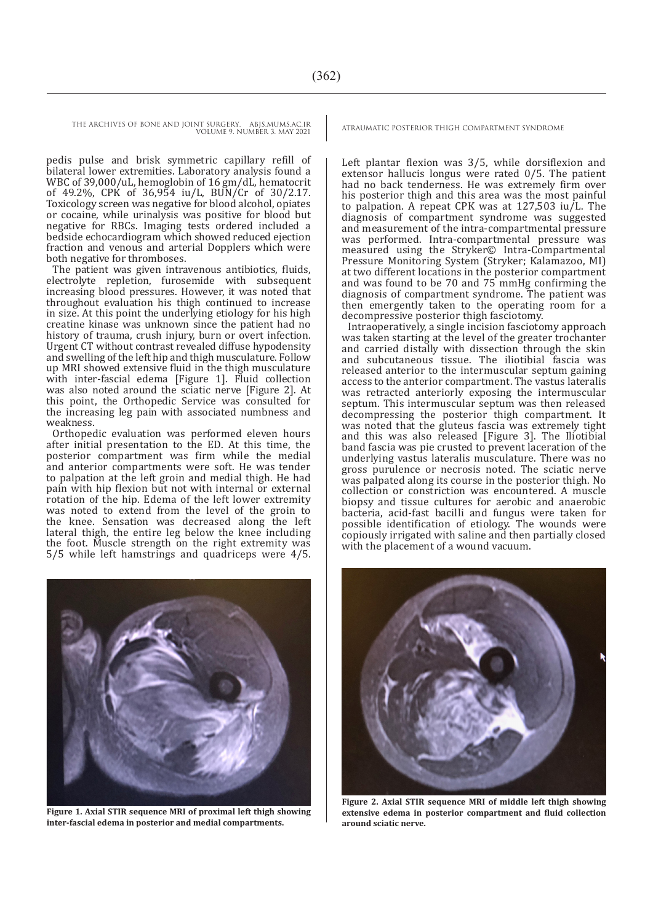THE ARCHIVES OF BONE AND JOINT SURGERY. ABJS.MUMS.AC.IR <br>ATRAUMATIC POSTERIOR THIGH COMPARTMENT SYNDROME

VOLUME 9. NUMBER 3. MAY 2021

pedis pulse and brisk symmetric capillary refill of bilateral lower extremities. Laboratory analysis found a WBC of 39,000/uL, hemoglobin of 16 gm/dL, hematocrit of 49.2%, CPK of 36,954 iu/L, BUN/Cr of 30/2.17. Toxicology screen was negative for blood alcohol, opiates or cocaine, while urinalysis was positive for blood but negative for RBCs. Imaging tests ordered included a bedside echocardiogram which showed reduced ejection fraction and venous and arterial Dopplers which were both negative for thromboses.

The patient was given intravenous antibiotics, fluids, electrolyte repletion, furosemide with subsequent increasing blood pressures. However, it was noted that throughout evaluation his thigh continued to increase in size. At this point the underlying etiology for his high creatine kinase was unknown since the patient had no history of trauma, crush injury, burn or overt infection. Urgent CT without contrast revealed diffuse hypodensity and swelling of the left hip and thigh musculature. Follow up MRI showed extensive fluid in the thigh musculature with inter-fascial edema [Figure 1]. Fluid collection was also noted around the sciatic nerve [Figure 2]. At this point, the Orthopedic Service was consulted for the increasing leg pain with associated numbness and weakness.

Orthopedic evaluation was performed eleven hours after initial presentation to the ED. At this time, the posterior compartment was firm while the medial and anterior compartments were soft. He was tender to palpation at the left groin and medial thigh. He had pain with hip flexion but not with internal or external rotation of the hip. Edema of the left lower extremity was noted to extend from the level of the groin to the knee. Sensation was decreased along the left lateral thigh, the entire leg below the knee including the foot. Muscle strength on the right extremity was 5/5 while left hamstrings and quadriceps were 4/5.



**Figure 1. Axial STIR sequence MRI of proximal left thigh showing inter-fascial edema in posterior and medial compartments.**

Left plantar flexion was 3/5, while dorsiflexion and extensor hallucis longus were rated 0/5. The patient had no back tenderness. He was extremely firm over his posterior thigh and this area was the most painful to palpation. A repeat CPK was at  $127,503$  iu/L. The diagnosis of compartment syndrome was suggested and measurement of the intra-compartmental pressure was performed. Intra-compartmental pressure was measured using the Stryker© Intra-Compartmental Pressure Monitoring System (Stryker; Kalamazoo, MI) at two different locations in the posterior compartment and was found to be 70 and 75 mmHg confirming the diagnosis of compartment syndrome. The patient was then emergently taken to the operating room for a decompressive posterior thigh fasciotomy.

Intraoperatively, a single incision fasciotomy approach was taken starting at the level of the greater trochanter and carried distally with dissection through the skin and subcutaneous tissue. The iliotibial fascia was released anterior to the intermuscular septum gaining access to the anterior compartment. The vastus lateralis was retracted anteriorly exposing the intermuscular septum. This intermuscular septum was then released decompressing the posterior thigh compartment. It was noted that the gluteus fascia was extremely tight and this was also released [Figure 3]. The Iliotibial band fascia was pie crusted to prevent laceration of the underlying vastus lateralis musculature. There was no gross purulence or necrosis noted. The sciatic nerve was palpated along its course in the posterior thigh. No collection or constriction was encountered. A muscle biopsy and tissue cultures for aerobic and anaerobic bacteria, acid-fast bacilli and fungus were taken for possible identification of etiology. The wounds were copiously irrigated with saline and then partially closed with the placement of a wound vacuum.



**Figure 2. Axial STIR sequence MRI of middle left thigh showing extensive edema in posterior compartment and fluid collection around sciatic nerve.**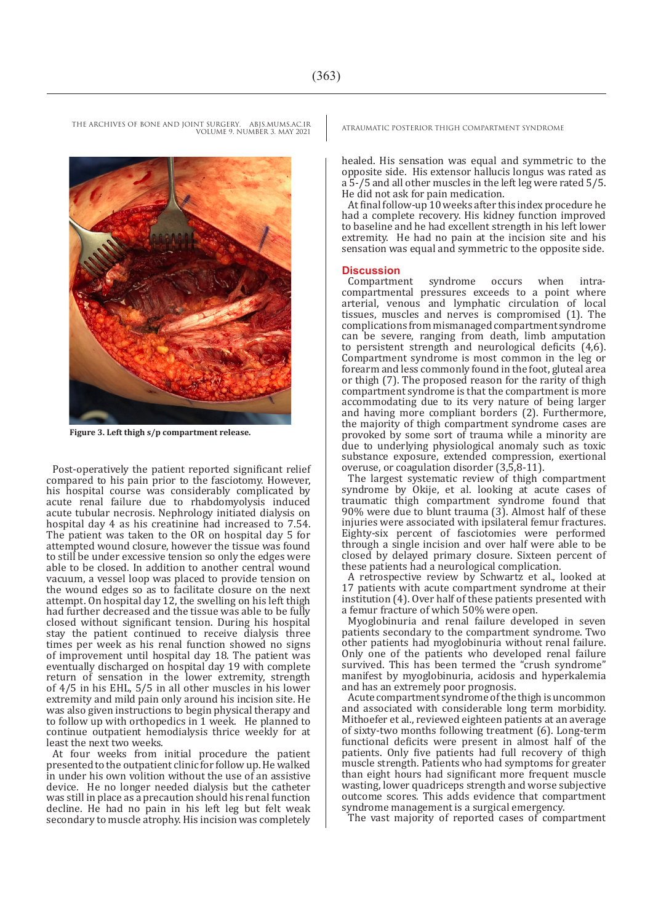THE ARCHIVES OF BONE AND JOINT SURGERY. ABJS.MUMS.AC.IR <br>ATRAUMATIC POSTERIOR THIGH COMPARTMENT SYNDROME VOLUME 9. NUMBER 3. MAY 2021

 **Figure 3. Left thigh s/p compartment release.**

Post-operatively the patient reported significant relief compared to his pain prior to the fasciotomy. However, his hospital course was considerably complicated by acute renal failure due to rhabdomyolysis induced acute tubular necrosis. Nephrology initiated dialysis on hospital day 4 as his creatinine had increased to 7.54. The patient was taken to the OR on hospital day 5 for attempted wound closure, however the tissue was found to still be under excessive tension so only the edges were able to be closed. In addition to another central wound vacuum, a vessel loop was placed to provide tension on the wound edges so as to facilitate closure on the next attempt. On hospital day 12, the swelling on his left thigh had further decreased and the tissue was able to be fully closed without significant tension. During his hospital stay the patient continued to receive dialysis three times per week as his renal function showed no signs of improvement until hospital day 18. The patient was eventually discharged on hospital day 19 with complete return of sensation in the lower extremity, strength of 4/5 in his EHL, 5/5 in all other muscles in his lower extremity and mild pain only around his incision site. He was also given instructions to begin physical therapy and to follow up with orthopedics in 1 week. He planned to continue outpatient hemodialysis thrice weekly for at least the next two weeks.

At four weeks from initial procedure the patient presented to the outpatient clinic for follow up. He walked in under his own volition without the use of an assistive device. He no longer needed dialysis but the catheter was still in place as a precaution should his renal function decline. He had no pain in his left leg but felt weak secondary to muscle atrophy. His incision was completely

healed. His sensation was equal and symmetric to the opposite side. His extensor hallucis longus was rated as a 5-/5 and all other muscles in the left leg were rated 5/5. He did not ask for pain medication.

At final follow-up 10 weeks after this index procedure he had a complete recovery. His kidney function improved to baseline and he had excellent strength in his left lower extremity. He had no pain at the incision site and his sensation was equal and symmetric to the opposite side.

**Discussion** Compartment syndrome occurs when intracompartmental pressures exceeds to a point where arterial, venous and lymphatic circulation of local tissues, muscles and nerves is compromised (1). The complications from mismanaged compartment syndrome can be severe, ranging from death, limb amputation to persistent strength and neurological deficits (4,6). Compartment syndrome is most common in the leg or forearm and less commonly found in the foot, gluteal area or thigh (7). The proposed reason for the rarity of thigh compartment syndrome is that the compartment is more accommodating due to its very nature of being larger and having more compliant borders (2). Furthermore, the majority of thigh compartment syndrome cases are provoked by some sort of trauma while a minority are due to underlying physiological anomaly such as toxic substance exposure, extended compression, exertional overuse, or coagulation disorder (3,5,8-11).

The largest systematic review of thigh compartment syndrome by Okije, et al. looking at acute cases of traumatic thigh compartment syndrome found that 90% were due to blunt trauma (3). Almost half of these injuries were associated with ipsilateral femur fractures. Eighty-six percent of fasciotomies were performed through a single incision and over half were able to be closed by delayed primary closure. Sixteen percent of these patients had a neurological complication.

A retrospective review by Schwartz et al., looked at 17 patients with acute compartment syndrome at their institution (4). Over half of these patients presented with a femur fracture of which 50% were open.

Myoglobinuria and renal failure developed in seven patients secondary to the compartment syndrome. Two other patients had myoglobinuria without renal failure. Only one of the patients who developed renal failure survived. This has been termed the "crush syndrome" manifest by myoglobinuria, acidosis and hyperkalemia and has an extremely poor prognosis.

Acute compartment syndrome of the thigh is uncommon and associated with considerable long term morbidity. Mithoefer et al., reviewed eighteen patients at an average of sixty-two months following treatment (6). Long-term functional deficits were present in almost half of the patients. Only five patients had full recovery of thigh muscle strength. Patients who had symptoms for greater than eight hours had significant more frequent muscle wasting, lower quadriceps strength and worse subjective outcome scores. This adds evidence that compartment syndrome management is a surgical emergency.

The vast majority of reported cases of compartment

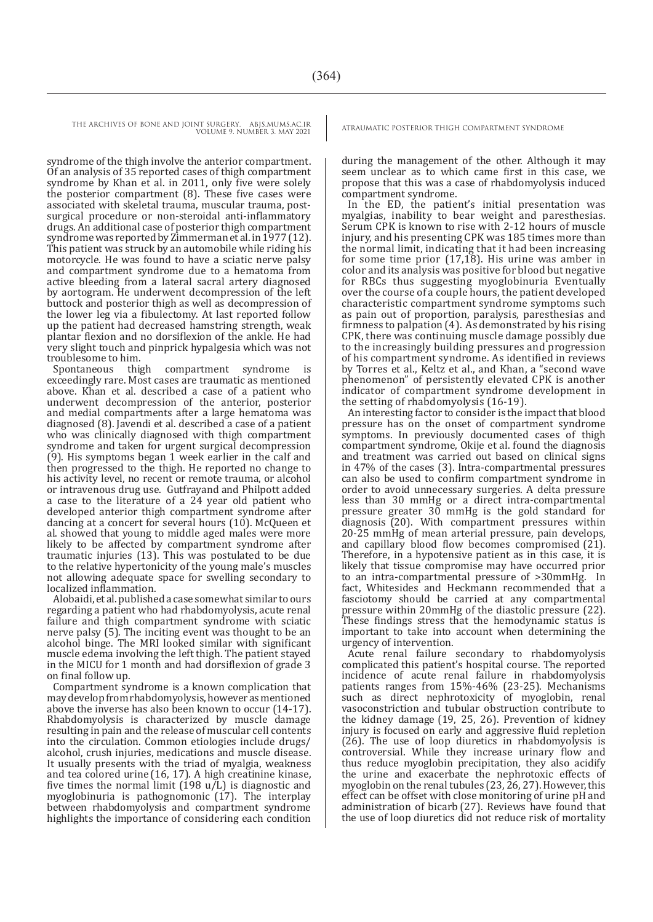VOLUME 9. NUMBER 3. MAY 2021

syndrome of the thigh involve the anterior compartment. Of an analysis of 35 reported cases of thigh compartment syndrome by Khan et al. in 2011, only five were solely the posterior compartment (8). These five cases were associated with skeletal trauma, muscular trauma, postsurgical procedure or non-steroidal anti-inflammatory drugs. An additional case of posterior thigh compartment syndrome was reported by Zimmerman et al. in 1977 (12). This patient was struck by an automobile while riding his motorcycle. He was found to have a sciatic nerve palsy and compartment syndrome due to a hematoma from active bleeding from a lateral sacral artery diagnosed by aortogram. He underwent decompression of the left buttock and posterior thigh as well as decompression of the lower leg via a fibulectomy. At last reported follow up the patient had decreased hamstring strength, weak plantar flexion and no dorsiflexion of the ankle. He had very slight touch and pinprick hypalgesia which was not

troublesome to him.<br>Spontaneous thigh Spontaneous thigh compartment syndrome is exceedingly rare. Most cases are traumatic as mentioned above. Khan et al. described a case of a patient who underwent decompression of the anterior, posterior and medial compartments after a large hematoma was diagnosed (8). Javendi et al. described a case of a patient who was clinically diagnosed with thigh compartment syndrome and taken for urgent surgical decompression (9). His symptoms began 1 week earlier in the calf and then progressed to the thigh. He reported no change to his activity level, no recent or remote trauma, or alcohol or intravenous drug use. Gutfrayand and Philpott added a case to the literature of a 24 year old patient who developed anterior thigh compartment syndrome after dancing at a concert for several hours (10). McQueen et al. showed that young to middle aged males were more likely to be affected by compartment syndrome after traumatic injuries (13). This was postulated to be due to the relative hypertonicity of the young male's muscles not allowing adequate space for swelling secondary to localized inflammation.

Alobaidi, et al. published a case somewhat similar to ours regarding a patient who had rhabdomyolysis, acute renal failure and thigh compartment syndrome with sciatic nerve palsy (5). The inciting event was thought to be an alcohol binge. The MRI looked similar with significant muscle edema involving the left thigh. The patient stayed in the MICU for 1 month and had dorsiflexion of grade 3 on final follow up.

Compartment syndrome is a known complication that may develop from rhabdomyolysis, however as mentioned above the inverse has also been known to occur (14-17). Rhabdomyolysis is characterized by muscle damage resulting in pain and the release of muscular cell contents into the circulation. Common etiologies include drugs/ alcohol, crush injuries, medications and muscle disease. It usually presents with the triad of myalgia, weakness and tea colored urine (16, 17). A high creatinine kinase, five times the normal limit (198 u/L) is diagnostic and myoglobinuria is pathognomonic (17). The interplay between rhabdomyolysis and compartment syndrome highlights the importance of considering each condition

THE ARCHIVES OF BONE AND JOINT SURGERY. ABJS.MUMS.AC.IR <br>ATRAUMATIC POSTERIOR THIGH COMPARTMENT SYNDROME

during the management of the other. Although it may seem unclear as to which came first in this case, we propose that this was a case of rhabdomyolysis induced compartment syndrome.

In the ED, the patient's initial presentation was myalgias, inability to bear weight and paresthesias. Serum CPK is known to rise with 2-12 hours of muscle injury, and his presenting CPK was 185 times more than the normal limit, indicating that it had been increasing for some time prior (17,18). His urine was amber in color and its analysis was positive for blood but negative for RBCs thus suggesting myoglobinuria Eventually over the course of a couple hours, the patient developed characteristic compartment syndrome symptoms such as pain out of proportion, paralysis, paresthesias and firmness to palpation (4). As demonstrated by his rising CPK, there was continuing muscle damage possibly due to the increasingly building pressures and progression of his compartment syndrome. As identified in reviews by Torres et al., Keltz et al., and Khan, a "second wave phenomenon" of persistently elevated CPK is another indicator of compartment syndrome development in the setting of rhabdomyolysis (16-19).

An interesting factor to consider is the impact that blood pressure has on the onset of compartment syndrome symptoms. In previously documented cases of thigh compartment syndrome, Okije et al. found the diagnosis and treatment was carried out based on clinical signs in 47% of the cases (3). Intra-compartmental pressures can also be used to confirm compartment syndrome in order to avoid unnecessary surgeries. A delta pressure less than 30 mmHg or a direct intra-compartmental pressure greater 30 mmHg is the gold standard for diagnosis (20). With compartment pressures within 20-25 mmHg of mean arterial pressure, pain develops, and capillary blood flow becomes compromised (21). Therefore, in a hypotensive patient as in this case, it is likely that tissue compromise may have occurred prior to an intra-compartmental pressure of >30mmHg. In fact, Whitesides and Heckmann recommended that a fasciotomy should be carried at any compartmental pressure within 20mmHg of the diastolic pressure (22). These findings stress that the hemodynamic status is important to take into account when determining the urgency of intervention.

Acute renal failure secondary to rhabdomyolysis complicated this patient's hospital course. The reported incidence of acute renal failure in rhabdomyolysis patients ranges from 15%-46% (23-25). Mechanisms such as direct nephrotoxicity of myoglobin, renal vasoconstriction and tubular obstruction contribute to the kidney damage (19, 25, 26). Prevention of kidney injury is focused on early and aggressive fluid repletion  $(26)$ . The use of loop diuretics in rhabdomyolysis is controversial. While they increase urinary flow and thus reduce myoglobin precipitation, they also acidify the urine and exacerbate the nephrotoxic effects of myoglobin on the renal tubules (23, 26, 27). However, this effect can be offset with close monitoring of urine pH and administration of bicarb (27). Reviews have found that the use of loop diuretics did not reduce risk of mortality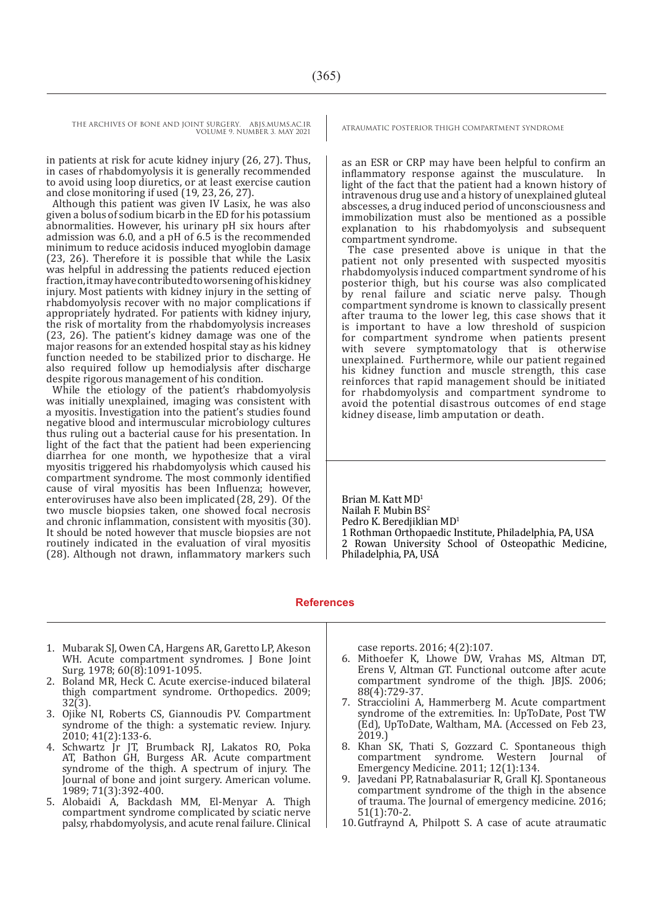THE ARCHIVES OF BONE AND JOINT SURGERY. ABJS.MUMS.AC.IR <br>ATRAUMATIC POSTERIOR THIGH COMPARTMENT SYNDROME VOLUME 9. NUMBER 3. MAY 2021

in patients at risk for acute kidney injury (26, 27). Thus, in cases of rhabdomyolysis it is generally recommended to avoid using loop diuretics, or at least exercise caution and close monitoring if used (19, 23, 26, 27).

Although this patient was given IV Lasix, he was also given a bolus of sodium bicarb in the ED for his potassium abnormalities. However, his urinary pH six hours after admission was 6.0, and a pH of 6.5 is the recommended minimum to reduce acidosis induced myoglobin damage (23, 26). Therefore it is possible that while the Lasix was helpful in addressing the patients reduced ejection fraction, it may have contributed to worsening of his kidney injury. Most patients with kidney injury in the setting of rhabdomyolysis recover with no major complications if appropriately hydrated. For patients with kidney injury, the risk of mortality from the rhabdomyolysis increases (23, 26). The patient's kidney damage was one of the major reasons for an extended hospital stay as his kidney function needed to be stabilized prior to discharge. He also required follow up hemodialysis after discharge despite rigorous management of his condition.

While the etiology of the patient's rhabdomyolysis was initially unexplained, imaging was consistent with a myositis. Investigation into the patient's studies found negative blood and intermuscular microbiology cultures thus ruling out a bacterial cause for his presentation. In light of the fact that the patient had been experiencing diarrhea for one month, we hypothesize that a viral myositis triggered his rhabdomyolysis which caused his compartment syndrome. The most commonly identified cause of viral myositis has been Influenza; however, enteroviruses have also been implicated (28, 29). Of the two muscle biopsies taken, one showed focal necrosis and chronic inflammation, consistent with myositis (30). It should be noted however that muscle biopsies are not routinely indicated in the evaluation of viral myositis (28). Although not drawn, inflammatory markers such

as an ESR or CRP may have been helpful to confirm an inflammatory response against the musculature. In light of the fact that the patient had a known history of intravenous drug use and a history of unexplained gluteal abscesses, a drug induced period of unconsciousness and immobilization must also be mentioned as a possible explanation to his rhabdomyolysis and subsequent compartment syndrome.

The case presented above is unique in that the patient not only presented with suspected myositis rhabdomyolysis induced compartment syndrome of his posterior thigh, but his course was also complicated by renal failure and sciatic nerve palsy. Though compartment syndrome is known to classically present after trauma to the lower leg, this case shows that it is important to have a low threshold of suspicion for compartment syndrome when patients present with severe symptomatology that is otherwise unexplained. Furthermore, while our patient regained his kidney function and muscle strength, this case reinforces that rapid management should be initiated for rhabdomyolysis and compartment syndrome to avoid the potential disastrous outcomes of end stage kidney disease, limb amputation or death.

Brian M. Katt MD<sup>1</sup> Nailah F. Mubin BS<sup>2</sup> Pedro K. Beredjiklian MD<sup>1</sup> 1 Rothman Orthopaedic Institute, Philadelphia, PA, USA 2 Rowan University School of Osteopathic Medicine, Philadelphia, PA, USA

#### **References**

- 1. Mubarak SJ, Owen CA, Hargens AR, Garetto LP, Akeson WH. Acute compartment syndromes. J Bone Joint Surg. 1978; 60(8):1091-1095.
- 2. Boland MR, Heck C. Acute exercise-induced bilateral thigh compartment syndrome. Orthopedics. 2009; 32(3).
- 3. Ojike NI, Roberts CS, Giannoudis PV. Compartment syndrome of the thigh: a systematic review. Injury. 2010; 41(2):133-6.
- 4. Schwartz Jr JT, Brumback RJ, Lakatos RO, Poka AT, Bathon GH, Burgess AR. Acute compartment syndrome of the thigh. A spectrum of injury. The Journal of bone and joint surgery. American volume. 1989; 71(3):392-400.
- 5. Alobaidi A, Backdash MM, El‐Menyar A. Thigh compartment syndrome complicated by sciatic nerve palsy, rhabdomyolysis, and acute renal failure. Clinical

case reports. 2016; 4(2):107.

- 6. Mithoefer K, Lhowe DW, Vrahas MS, Altman DT, Erens V, Altman GT. Functional outcome after acute compartment syndrome of the thigh. JBJS. 2006; 88(4):729-37.
- 7. Stracciolini A, Hammerberg M. Acute compartment syndrome of the extremities. In: UpToDate, Post TW (Ed), UpToDate, Waltham, MA. (Accessed on Feb 23, 2019.)
- 8. Khan SK, Thati S, Gozzard C. Spontaneous thigh compartment syndrome. Western Journal of Emergency Medicine. 2011; 12(1):134.
- 9. Javedani PP, Ratnabalasuriar R, Grall KJ. Spontaneous compartment syndrome of the thigh in the absence of trauma. The Journal of emergency medicine. 2016; 51(1):70-2.
- 10.Gutfraynd A, Philpott S. A case of acute atraumatic